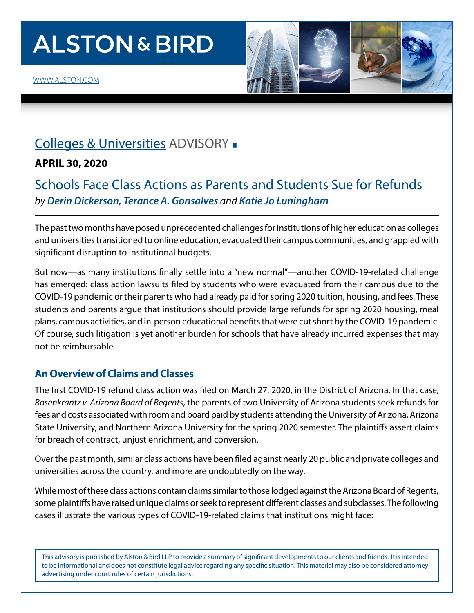# **ALSTON & BIRD**



## [Colleges & Universities](https://www.alston.com/en/services/practices/corporate--finance/corporate--business-transactions/colleges--universities) ADVISORY -

#### **APRIL 30, 2020**

### Schools Face Class Actions as Parents and Students Sue for Refunds *by [Derin Dickerson,](https://www.alston.com/en/professionals/d/dickerson-derin-b) [Terance A. Gonsalves](https://www.alston.com/en/professionals/g/gonsalves-terance) and [Katie Jo Luningham](https://www.alston.com/en/professionals/l/luningham-katie-jo)*

The past two months have posed unprecedented challenges for institutions of higher education as colleges and universities transitioned to online education, evacuated their campus communities, and grappled with significant disruption to institutional budgets.

But now—as many institutions finally settle into a "new normal"—another COVID-19-related challenge has emerged: class action lawsuits filed by students who were evacuated from their campus due to the COVID-19 pandemic or their parents who had already paid for spring 2020 tuition, housing, and fees. These students and parents argue that institutions should provide large refunds for spring 2020 housing, meal plans, campus activities, and in-person educational benefits that were cut short by the COVID-19 pandemic. Of course, such litigation is yet another burden for schools that have already incurred expenses that may not be reimbursable.

#### **An Overview of Claims and Classes**

The first COVID-19 refund class action was filed on March 27, 2020, in the District of Arizona. In that case, *Rosenkrantz v. Arizona Board of Regents*, the parents of two University of Arizona students seek refunds for fees and costs associated with room and board paid by students attending the University of Arizona, Arizona State University, and Northern Arizona University for the spring 2020 semester. The plaintiffs assert claims for breach of contract, unjust enrichment, and conversion.

Over the past month, similar class actions have been filed against nearly 20 public and private colleges and universities across the country, and more are undoubtedly on the way.

While most of these class actions contain claims similar to those lodged against the Arizona Board of Regents, some plaintiffs have raised unique claims or seek to represent different classes and subclasses. The following cases illustrate the various types of COVID-19-related claims that institutions might face:

This advisory is published by Alston & Bird LLP to provide a summary of significant developments to our clients and friends. It is intended to be informational and does not constitute legal advice regarding any specific situation. This material may also be considered attorney advertising under court rules of certain jurisdictions.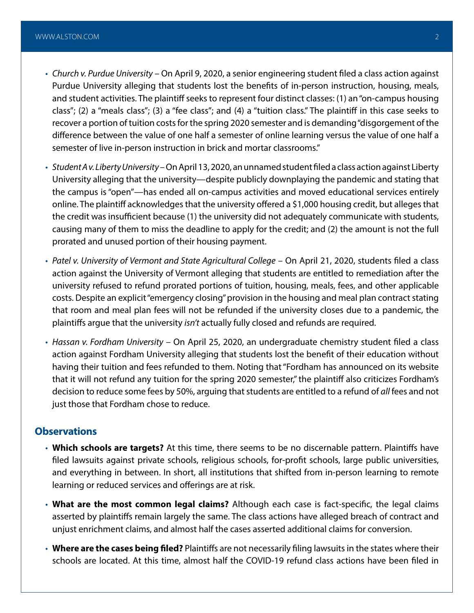- *Church v. Purdue University* On April 9, 2020, a senior engineering student filed a class action against Purdue University alleging that students lost the benefits of in-person instruction, housing, meals, and student activities. The plaintiff seeks to represent four distinct classes: (1) an "on-campus housing class"; (2) a "meals class"; (3) a "fee class"; and (4) a "tuition class." The plaintiff in this case seeks to recover a portion of tuition costs for the spring 2020 semester and is demanding "disgorgement of the difference between the value of one half a semester of online learning versus the value of one half a semester of live in-person instruction in brick and mortar classrooms."
- *Student A v. Liberty University* On April 13, 2020, an unnamed student filed a class action against Liberty University alleging that the university—despite publicly downplaying the pandemic and stating that the campus is "open"—has ended all on-campus activities and moved educational services entirely online. The plaintiff acknowledges that the university offered a \$1,000 housing credit, but alleges that the credit was insufficient because (1) the university did not adequately communicate with students, causing many of them to miss the deadline to apply for the credit; and (2) the amount is not the full prorated and unused portion of their housing payment.
- *Patel v. University of Vermont and State Agricultural College* On April 21, 2020, students filed a class action against the University of Vermont alleging that students are entitled to remediation after the university refused to refund prorated portions of tuition, housing, meals, fees, and other applicable costs. Despite an explicit "emergency closing" provision in the housing and meal plan contract stating that room and meal plan fees will not be refunded if the university closes due to a pandemic, the plaintiffs argue that the university *isn't* actually fully closed and refunds are required.
- *Hassan v. Fordham University* On April 25, 2020, an undergraduate chemistry student filed a class action against Fordham University alleging that students lost the benefit of their education without having their tuition and fees refunded to them. Noting that "Fordham has announced on its website that it will not refund any tuition for the spring 2020 semester," the plaintiff also criticizes Fordham's decision to reduce some fees by 50%, arguing that students are entitled to a refund of *all* fees and not just those that Fordham chose to reduce.

#### **Observations**

- **Which schools are targets?** At this time, there seems to be no discernable pattern. Plaintiffs have filed lawsuits against private schools, religious schools, for-profit schools, large public universities, and everything in between. In short, all institutions that shifted from in-person learning to remote learning or reduced services and offerings are at risk.
- **What are the most common legal claims?** Although each case is fact-specific, the legal claims asserted by plaintiffs remain largely the same. The class actions have alleged breach of contract and unjust enrichment claims, and almost half the cases asserted additional claims for conversion.
- **Where are the cases being filed?** Plaintiffs are not necessarily filing lawsuits in the states where their schools are located. At this time, almost half the COVID-19 refund class actions have been filed in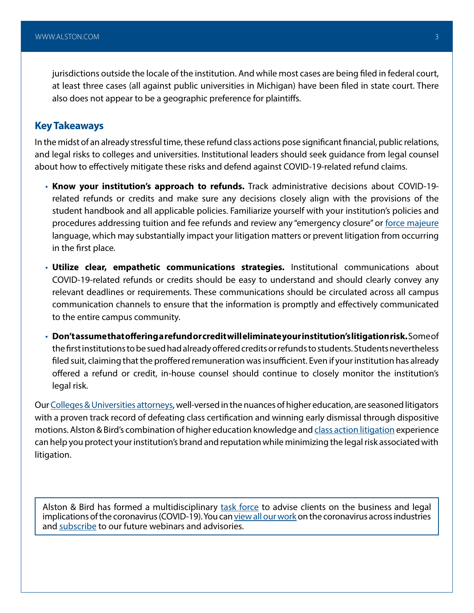jurisdictions outside the locale of the institution. And while most cases are being filed in federal court, at least three cases (all against public universities in Michigan) have been filed in state court. There also does not appear to be a geographic preference for plaintiffs.

#### **Key Takeaways**

In the midst of an already stressful time, these refund class actions pose significant financial, public relations, and legal risks to colleges and universities. Institutional leaders should seek guidance from legal counsel about how to effectively mitigate these risks and defend against COVID-19-related refund claims.

- **Know your institution's approach to refunds.** Track administrative decisions about COVID-19 related refunds or credits and make sure any decisions closely align with the provisions of the student handbook and all applicable policies. Familiarize yourself with your institution's policies and procedures addressing tuition and fee refunds and review any "emergency closure" or [force majeure](https://www.alston.com/en/insights/publications/2020/02/force-majeure-provision-extend-to-the-coronavirus/)  language, which may substantially impact your litigation matters or prevent litigation from occurring in the first place.
- **Utilize clear, empathetic communications strategies.** Institutional communications about COVID-19-related refunds or credits should be easy to understand and should clearly convey any relevant deadlines or requirements. These communications should be circulated across all campus communication channels to ensure that the information is promptly and effectively communicated to the entire campus community.
- **Don't assume that offering a refund or credit will eliminate your institution's litigation risk.** Some of the first institutions to be sued had already offered credits or refunds to students. Students nevertheless filed suit, claiming that the proffered remuneration was insufficient. Even if your institution has already offered a refund or credit, in-house counsel should continue to closely monitor the institution's legal risk.

Our [Colleges & Universities attorneys](https://www.alston.com/en/services/practices/corporate--finance/corporate--business-transactions/colleges--universities), well-versed in the nuances of higher education, are seasoned litigators with a proven track record of defeating class certification and winning early dismissal through dispositive motions. Alston & Bird's combination of higher education knowledge and [class action litigation](https://www.alston.com/en/services/practices/litigation/class-action) experience can help you protect your institution's brand and reputation while minimizing the legal risk associated with litigation.

Alston & Bird has formed a multidisciplinary [task force](https://www.alston.com/en/resources/coronavirus/overview) to advise clients on the business and legal implications of the coronavirus (COVID-19). You can [view all our work](https://www.alston.com/en/insights/?keyword=Coronavirus&reload=false&scroll=499.7685546875) on the coronavirus across industries and [subscribe](https://www.alston.com/en/resources/subscriptions-form) to our future webinars and advisories.